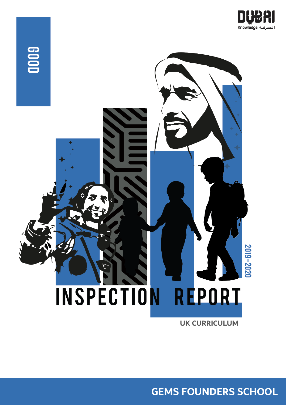



**UK CURRICULUM**

**GEMS FOUNDERS SCHOOL**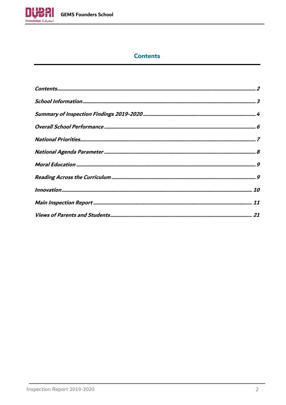

# **Contents**

<span id="page-1-0"></span>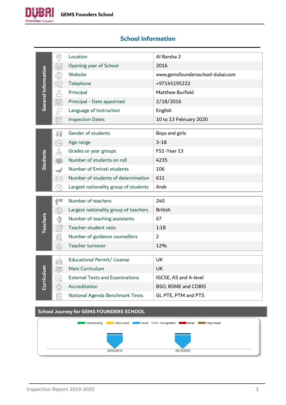

# <span id="page-2-0"></span>**School Information**

|                     | ⊙)                                                                                                   | Location                                       | Al Barsha 2                      |
|---------------------|------------------------------------------------------------------------------------------------------|------------------------------------------------|----------------------------------|
|                     | Ê                                                                                                    | Opening year of School                         | 2016                             |
|                     | ⊕                                                                                                    | Website                                        | www.gemsfoundersschool-dubai.com |
|                     | Ö                                                                                                    | Telephone                                      | +97145195222                     |
|                     | Q                                                                                                    | Principal                                      | Matthew Burfield                 |
| General Information | UU                                                                                                   | Principal - Date appointed                     | 2/18/2016                        |
|                     | Š,                                                                                                   | Language of Instruction                        | English                          |
|                     | 罰                                                                                                    | <b>Inspection Dates</b>                        | 10 to 13 February 2020           |
|                     |                                                                                                      | Gender of students                             |                                  |
|                     | 释                                                                                                    |                                                | Boys and girls                   |
|                     | AGE <sup></sup>                                                                                      | Age range                                      | $3 - 18$                         |
| Students            | $\frac{100}{90}$                                                                                     | Grades or year groups                          | FS1-Year 13                      |
|                     | 253                                                                                                  | Number of students on roll                     | 4235                             |
|                     |                                                                                                      | Number of Emirati students                     | 106                              |
|                     | 1,92                                                                                                 | Number of students of determination            | 611                              |
|                     |                                                                                                      | Largest nationality group of students          | Arab                             |
|                     | Ĥ″.                                                                                                  | Number of teachers                             | 240                              |
|                     | $\left(\begin{smallmatrix} 1 & 0 \\ 0 & 1 \end{smallmatrix}\right)$                                  | Largest nationality group of teachers          | <b>British</b>                   |
|                     | Y                                                                                                    | Number of teaching assistants                  | 67                               |
| <b>Teachers</b>     |                                                                                                      | Teacher-student ratio                          | 1:18                             |
|                     | Fa<br>An                                                                                             | Number of guidance counsellors                 | $\overline{2}$                   |
|                     | $\circledS$                                                                                          | Teacher turnover                               | 12%                              |
|                     |                                                                                                      |                                                |                                  |
|                     | <b>HARRY</b>                                                                                         | Educational Permit/ License                    | <b>UK</b>                        |
|                     |                                                                                                      | Main Curriculum                                | <b>UK</b>                        |
| Curriculun          | 霉                                                                                                    | <b>External Tests and Examinations</b>         | IGCSE, AS and A-level            |
|                     |                                                                                                      | Accreditation                                  | BSO, BSME and COBIS              |
|                     | $\begin{array}{ c }\hline \mathbf{g}=\mathbf{g}\\ \hline \mathbf{g}=\mathbf{g}\\ \hline \end{array}$ | National Agenda Benchmark Tests                | GL PTE, PTM and PTS              |
|                     |                                                                                                      | <b>School Journey for GEMS FOUNDERS SCHOOL</b> |                                  |

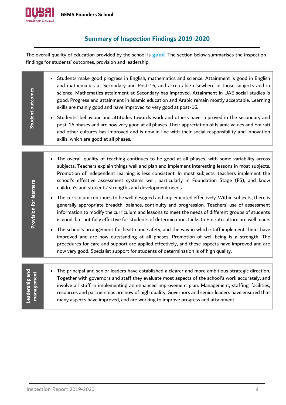

**Student**

**outcomes**

## **Summary of Inspection Findings 2019-2020**

<span id="page-3-0"></span>The overall quality of education provided by the school is **good**. The section below summarises the inspection findings for students' outcomes, provision and leadership.

• Students make good progress in English, mathematics and science. Attainment is good in English and mathematics at Secondary and Post-16, and acceptable elsewhere in those subjects and in science. Mathematics attainment at Secondary has improved. Attainment in UAE social studies is good. Progress and attainment in Islamic education and Arabic remain mostly acceptable. Learning skills are mainly good and have improved to very good at post-16.

• Students' behaviour and attitudes towards work and others have improved in the secondary and post-16 phases and are now very good at all phases. Their appreciation of Islamic values and Emirati and other cultures has improved and is now in line with their social responsibility and innovation skills, which are good at all phases.

- The overall quality of teaching continues to be good at all phases, with some variability across subjects. Teachers explain things well and plan and implement interesting lessons in most subjects. Promotion of independent learning is less consistent. In most subjects, teachers implement the school's effective assessment systems well, particularly in Foundation Stage (FS), and know children's and students' strengths and development needs.
- The curriculum continues to be well designed and implemented effectively. Within subjects, there is generally appropriate breadth, balance, continuity and progression. Teachers' use of assessment information to modify the curriculum and lessons to meet the needs of different groups of students is good, but not fully effective for students of determination. Links to Emirati culture are well made.
- The school's arrangement for health and safety, and the way in which staff implement them, have improved and are now outstanding at all phases. Promotion of well-being is a strength. The procedures for care and support are applied effectively, and these aspects have improved and are now very good. Specialist support for students of determination is of high quality.

**Leadership and**  Leadership and management **management**

**Provision for learners**

**Provision for learners** 

• The principal and senior leaders have established a clearer and more ambitious strategic direction. Together with governors and staff they evaluate most aspects of the school's work accurately, and involve all staff in implementing an enhanced improvement plan. Management, staffing, facilities, resources and partnerships are now of high quality. Governors and senior leaders have ensured that many aspects have improved, and are working to improve progress and attainment.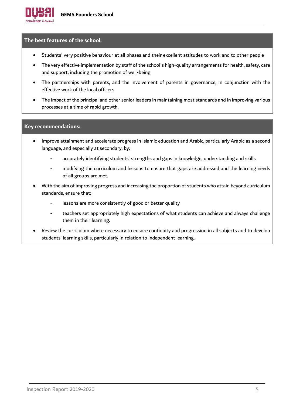#### **The best features of the school:**

- Students' very positive behaviour at all phases and their excellent attitudes to work and to other people
- The very effective implementation by staff of the school's high-quality arrangements for health, safety, care and support, including the promotion of well-being
- The partnerships with parents, and the involvement of parents in governance, in conjunction with the effective work of the local officers
- The impact of the principal and other senior leaders in maintaining most standards and in improving various processes at a time of rapid growth.

#### **Key recommendations:**

- Improve attainment and accelerate progress in Islamic education and Arabic, particularly Arabic as a second language, and especially at secondary, by:
	- accurately identifying students' strengths and gaps in knowledge, understanding and skills
	- modifying the curriculum and lessons to ensure that gaps are addressed and the learning needs of all groups are met.
- With the aim of improving progress and increasing the proportion of students who attain beyond curriculum standards, ensure that:
	- lessons are more consistently of good or better quality
	- teachers set appropriately high expectations of what students can achieve and always challenge them in their learning.
- Review the curriculum where necessary to ensure continuity and progression in all subjects and to develop students' learning skills, particularly in relation to independent learning.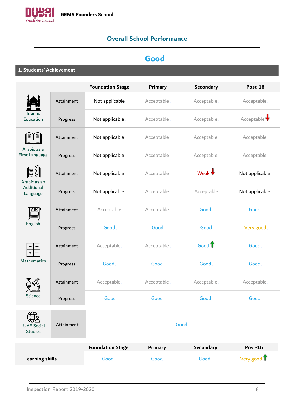<span id="page-5-0"></span>

# **Overall School Performance**

# **Good**

## **1. Students' Achievement**

|                                     |            | <b>Foundation Stage</b> | <b>Primary</b> | <b>Secondary</b>  | <b>Post-16</b>       |
|-------------------------------------|------------|-------------------------|----------------|-------------------|----------------------|
|                                     | Attainment | Not applicable          | Acceptable     | Acceptable        | Acceptable           |
| <b>Islamic</b><br>Education         | Progress   | Not applicable          | Acceptable     | Acceptable        | Acceptable $\big\{}$ |
|                                     | Attainment | Not applicable          | Acceptable     | Acceptable        | Acceptable           |
| Arabic as a<br>First Language       | Progress   | Not applicable          | Acceptable     | Acceptable        | Acceptable           |
| Arabic as an                        | Attainment | Not applicable          | Acceptable     | Weak $\bigstar$   | Not applicable       |
| Additional<br>Language              | Progress   | Not applicable          | Acceptable     | Acceptable        | Not applicable       |
| <b>ABCP</b>                         | Attainment | Acceptable              | Acceptable     | Good              | Good                 |
| English                             | Progress   | Good                    | Good           | Good              | Very good            |
| $^{+}$<br>$\times$                  | Attainment | Acceptable              | Acceptable     | Good <sup>1</sup> | Good                 |
| Mathematics                         | Progress   | Good                    | Good           | Good              | Good                 |
|                                     | Attainment | Acceptable              | Acceptable     | Acceptable        | Acceptable           |
| Science                             | Progress   | Good                    | Good           | Good.             | Good                 |
| <b>UAE Social</b><br><b>Studies</b> | Attainment |                         |                | Good              |                      |
|                                     |            | <b>Foundation Stage</b> | <b>Primary</b> | <b>Secondary</b>  | <b>Post-16</b>       |
| <b>Learning skills</b>              |            | Good                    | Good           | Good              | Very good 1          |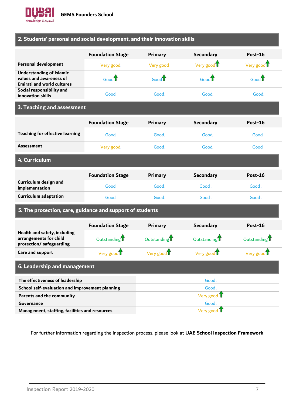

## **2. Students' personal and social development, and their innovation skills**

|                                                                                                 | <b>Foundation Stage</b> | Primary   | <b>Secondary</b>   | $Post-16$ |
|-------------------------------------------------------------------------------------------------|-------------------------|-----------|--------------------|-----------|
| <b>Personal development</b>                                                                     | Very good               | Very good | Very good <b>U</b> | Very good |
| <b>Understanding of Islamic</b><br>values and awareness of<br><b>Emirati and world cultures</b> | Good $\mathbb T$        | Good      | Good               | $Good^T$  |
| Social responsibility and<br>innovation skills                                                  | Good                    | Good      | Good               | Good      |

## **3. Teaching and assessment**

|                                                                                   | <b>Foundation Stage</b>  | Primary                  | <b>Secondary</b>         | Post-16                  |
|-----------------------------------------------------------------------------------|--------------------------|--------------------------|--------------------------|--------------------------|
| <b>Teaching for effective learning</b>                                            | Good                     | Good                     | <b>Good</b>              | Good                     |
| <b>Assessment</b>                                                                 | Very good                | <b>Good</b>              | <b>Good</b>              | Good                     |
| 4. Curriculum                                                                     |                          |                          |                          |                          |
|                                                                                   | <b>Foundation Stage</b>  | <b>Primary</b>           | <b>Secondary</b>         | <b>Post-16</b>           |
| Curriculum design and<br>implementation                                           | Good                     | Good                     | Good                     | Good                     |
| <b>Curriculum adaptation</b>                                                      | <b>Good</b>              | Good                     | Good                     | Good                     |
| 5. The protection, care, guidance and support of students                         |                          |                          |                          |                          |
|                                                                                   | <b>Foundation Stage</b>  | <b>Primary</b>           | <b>Secondary</b>         | Post-16                  |
| Health and safety, including<br>arrangements for child<br>protection/safeguarding | Outstanding <sup>1</sup> | Outstanding <sup>1</sup> | Outstanding <sup>1</sup> | Outstanding <sup>1</sup> |
| Care and support                                                                  | Very good T              | Very good $\mathbf T$    | Very good                | Very good U              |
| 6. Leadership and management                                                      |                          |                          |                          |                          |
| The effectiveness of leadership                                                   |                          |                          | Good                     |                          |
| School self-evaluation and improvement planning                                   |                          |                          | Good                     |                          |
| Parents and the community                                                         |                          |                          | Very good T              |                          |
| Governance                                                                        |                          |                          | Good                     |                          |

**Management, staffing, facilities and resources** Very good T

<span id="page-6-0"></span>For further information regarding the inspection process, please look at **[UAE School Inspection Framework](https://www.khda.gov.ae/Areas/Administration/Content/FileUploads/Publication/Documents/English/20170112135640_KHDAINSPECTIONFRAMEWORKEN.pdf)**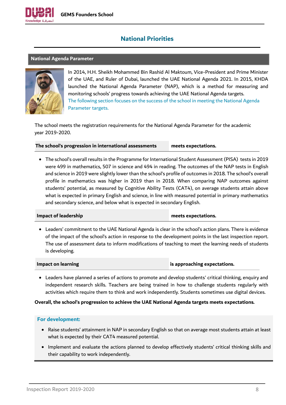

## **National Priorities**

#### <span id="page-7-0"></span>**National Agenda Parameter**



In 2014, H.H. Sheikh Mohammed Bin Rashid Al Maktoum, Vice-President and Prime Minister of the UAE, and Ruler of Dubai, launched the UAE National Agenda 2021. In 2015, KHDA launched the National Agenda Parameter (NAP), which is a method for measuring and monitoring schools' progress towards achieving the UAE National Agenda targets. The following section focuses on the success of the school in meeting the National Agenda Parameter targets.

The school meets the registration requirements for the National Agenda Parameter for the academic year 2019-2020.

**The school's progression in international assessments meets expectations.**

• The school's overall results in the Programme for International Student Assessment (PISA) tests in 2019 were 499 in mathematics, 507 in science and 494 in reading. The outcomes of the NAP tests in English and science in 2019 were slightly lower than the school's profile of outcomes in 2018. The school's overall profile in mathematics was higher in 2019 than in 2018. When comparing NAP outcomes against students' potential, as measured by Cognitive Ability Tests (CAT4), on average students attain above what is expected in primary English and science, in line with measured potential in primary mathematics and secondary science, and below what is expected in secondary English.

#### **Impact of leadership meets expectations.**

• Leaders' commitment to the UAE National Agenda is clear in the school's action plans. There is evidence of the impact of the school's action in response to the development points in the last inspection report. The use of assessment data to inform modifications of teaching to meet the learning needs of students is developing.

**Impact on learning is approaching expectations.**

• Leaders have planned a series of actions to promote and develop students' critical thinking, enquiry and independent research skills. Teachers are being trained in how to challenge students regularly with activities which require them to think and work independently. Students sometimes use digital devices.

#### **Overall, the school's progression to achieve the UAE National Agenda targets meets expectations.**

- Raise students' attainment in NAP in secondary English so that on average most students attain at least what is expected by their CAT4 measured potential.
- Implement and evaluate the actions planned to develop effectively students' critical thinking skills and their capability to work independently.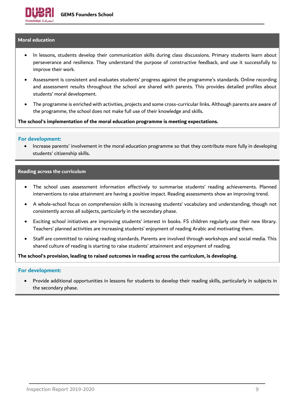#### <span id="page-8-0"></span>**Moral education**

- In lessons, students develop their communication skills during class discussions. Primary students learn about perseverance and resilience. They understand the purpose of constructive feedback, and use it successfully to improve their work.
- Assessment is consistent and evaluates students' progress against the programme's standards. Online recording and assessment results throughout the school are shared with parents. This provides detailed profiles about students' moral development.
- The programme is enriched with activities, projects and some cross-curricular links. Although parents are aware of the programme, the school does not make full use of their knowledge and skills.

**The school's implementation of the moral education programme is meeting expectations.**

#### **For development:**

• Increase parents' involvement in the moral education programme so that they contribute more fully in developing students' citizenship skills.

#### <span id="page-8-1"></span>**Reading across the curriculum**

- The school uses assessment information effectively to summarise students' reading achievements. Planned interventions to raise attainment are having a positive impact. Reading assessments show an improving trend.
- A whole-school focus on comprehension skills is increasing students' vocabulary and understanding, though not consistently across all subjects, particularly in the secondary phase.
- Exciting school initiatives are improving students' interest in books. FS children regularly use their new library. Teachers' planned activities are increasing students' enjoyment of reading Arabic and motivating them.
- Staff are committed to raising reading standards. Parents are involved through workshops and social media. This shared culture of reading is starting to raise students' attainment and enjoyment of reading.

**The school's provision, leading to raised outcomes in reading across the curriculum, is developing.**

#### **For development:**

• Provide additional opportunities in lessons for students to develop their reading skills, particularly in subjects in the secondary phase.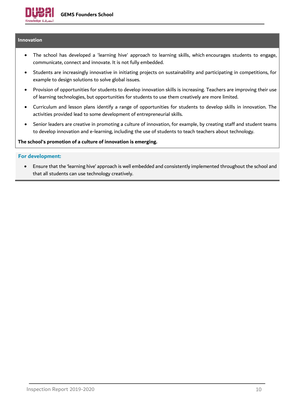

#### <span id="page-9-0"></span>**Innovation**

- The school has developed a 'learning hive' approach to learning skills, which encourages students to engage, communicate, connect and innovate. It is not fully embedded.
- Students are increasingly innovative in initiating projects on sustainability and participating in competitions, for example to design solutions to solve global issues.
- Provision of opportunities for students to develop innovation skills is increasing. Teachers are improving their use of learning technologies, but opportunities for students to use them creatively are more limited.
- Curriculum and lesson plans identify a range of opportunities for students to develop skills in innovation. The activities provided lead to some development of entrepreneurial skills.
- Senior leaders are creative in promoting a culture of innovation, for example, by creating staff and student teams to develop innovation and e-learning, including the use of students to teach teachers about technology.

#### **The school's promotion of a culture of innovation is emerging.**

#### **For development:**

• Ensure that the 'learning hive' approach is well embedded and consistently implemented throughout the school and that all students can use technology creatively.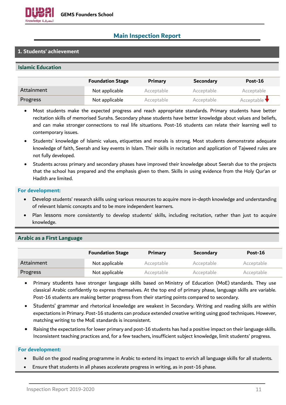

## <span id="page-10-0"></span>**Main Inspection Report**

### **1. Students' achievement**

#### **Islamic Education**

|            | <b>Foundation Stage</b> | <b>Primary</b> | <b>Secondary</b> | $Post-16$                       |
|------------|-------------------------|----------------|------------------|---------------------------------|
| Attainment | Not applicable          | Acceptable.    | Acceptable       | Acceptable                      |
| Progress   | Not applicable          | Acceptable.    | Acceptable       | Acceptable $\blacktriangledown$ |

- Most students make the expected progress and reach appropriate standards. Primary students have better recitation skills of memorised Surahs. Secondary phase students have better knowledge about values and beliefs, and can make stronger connections to real life situations. Post-16 students can relate their learning well to contemporary issues.
- Students' knowledge of Islamic values, etiquettes and morals is strong. Most students demonstrate adequate knowledge of faith, Seerah and key events in Islam. Their skills in recitation and application of Tajweed rules are not fully developed.
- Students across primary and secondary phases have improved their knowledge about Seerah due to the projects that the school has prepared and the emphasis given to them. Skills in using evidence from the Holy Qur'an or Hadith are limited.

#### **For development:**

- Develop students' research skills using various resources to acquire more in-depth knowledge and understanding of relevant Islamic concepts and to be more independent learners.
- Plan lessons more consistently to develop students' skills, including recitation, rather than just to acquire knowledge.

#### **Arabic as a First Language**

|            | <b>Foundation Stage</b> | <b>Primary</b> | <b>Secondary</b> | Post-16     |
|------------|-------------------------|----------------|------------------|-------------|
| Attainment | Not applicable          | Acceptable.    | Acceptable       | Acceptable  |
| Progress   | Not applicable          | Acceptable.    | Acceptable       | Acceptable. |

- Primary students have stronger language skills based on Ministry of Education (MoE) standards. They use classical Arabic confidently to express themselves. At the top end of primary phase, language skills are variable. Post-16 students are making better progress from their starting points compared to secondary.
- Students' grammar and rhetorical knowledge are weakest in Secondary. Writing and reading skills are within expectations in Primary. Post-16 students can produce extended creative writing using good techniques. However, matching writing to the MoE standards is inconsistent.
- Raising the expectations for lower primary and post-16 students has had a positive impact on their language skills. Inconsistent teaching practices and, for a few teachers, insufficient subject knowledge, limit students' progress.

- Build on the good reading programme in Arabic to extend its impact to enrich all language skills for all students.
- Ensure that students in all phases accelerate progress in writing, as in post-16 phase.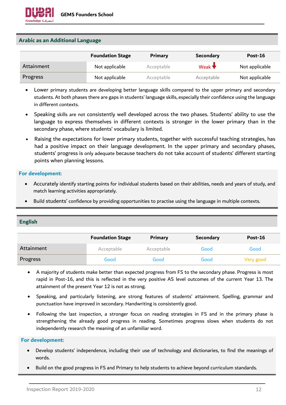#### **Arabic as an Additional Language**

|            | <b>Foundation Stage</b> | Primary     | Secondary       | Post-16        |
|------------|-------------------------|-------------|-----------------|----------------|
| Attainment | Not applicable          | Acceptable. | Weak $\bigstar$ | Not applicable |
| Progress   | Not applicable          | Acceptable  | Acceptable      | Not applicable |

- Lower primary students are developing better language skills compared to the upper primary and secondary students. At both phases there are gaps in students' language skills, especially their confidence using the language in different contexts.
- Speaking skills are not consistently well developed across the two phases. Students' ability to use the language to express themselves in different contexts is stronger in the lower primary than in the secondary phase, where students' vocabulary is limited.
- Raising the expectations for lower primary students, together with successful teaching strategies, has had a positive impact on their language development. In the upper primary and secondary phases, students' progress is only adequate because teachers do not take account of students' different starting points when planning lessons.

#### **For development:**

- Accurately identify starting points for individual students based on their abilities, needs and years of study, and match learning activities appropriately.
- Build students' confidence by providing opportunities to practise using the language in multiple contexts.

### **English**

|            | <b>Foundation Stage</b> | Primary     | <b>Secondary</b> | Post-16   |
|------------|-------------------------|-------------|------------------|-----------|
| Attainment | Acceptable.             | Acceptable. | Good             | Good.     |
| Progress   | Good.                   | Good        | Good             | Very good |

- A majority of students make better than expected progress from FS to the secondary phase. Progress is most rapid in Post-16, and this is reflected in the very positive AS level outcomes of the current Year 13. The attainment of the present Year 12 is not as strong.
- Speaking, and particularly listening, are strong features of students' attainment. Spelling, grammar and punctuation have improved in secondary. Handwriting is consistently good.
- Following the last inspection, a stronger focus on reading strategies in FS and in the primary phase is strengthening the already good progress in reading. Sometimes progress slows when students do not independently research the meaning of an unfamiliar word.

- Develop students' independence, including their use of technology and dictionaries, to find the meanings of words.
- Build on the good progress in FS and Primary to help students to achieve beyond curriculum standards.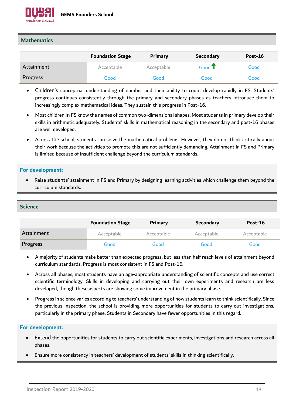

#### **Mathematics**

|            | <b>Foundation Stage</b> | Primary    | <b>Secondary</b> | Post-16 |
|------------|-------------------------|------------|------------------|---------|
| Attainment | Acceptable              | Acceptable | Good T           | Good    |
| Progress   | Good                    | Good       | Good             | Good    |

- Children's conceptual understanding of number and their ability to count develop rapidly in FS. Students' progress continues consistently through the primary and secondary phases as teachers introduce them to increasingly complex mathematical ideas. They sustain this progress in Post-16.
- Most children in FS know the names of common two-dimensional shapes. Most students in primary develop their skills in arithmetic adequately. Students' skills in mathematical reasoning in the secondary and post-16 phases are well developed.
- Across the school, students can solve the mathematical problems. However, they do not think critically about their work because the activities to promote this are not sufficiently demanding. Attainment in FS and Primary is limited because of insufficient challenge beyond the curriculum standards.

#### **For development:**

• Raise students' attainment in FS and Primary by designing learning activities which challenge them beyond the curriculum standards.

#### **Science**

|            | <b>Foundation Stage</b> | Primary     | <b>Secondary</b> | Post-16    |
|------------|-------------------------|-------------|------------------|------------|
| Attainment | Acceptable.             | Acceptable. | Acceptable       | Acceptable |
| Progress   | Good                    | Good        | Good             | Good       |

- A majority of students make better than expected progress, but less than half reach levels of attainment beyond curriculum standards. Progress is most consistent in FS and Post-16.
- Across all phases, most students have an age-appropriate understanding of scientific concepts and use correct scientific terminology. Skills in developing and carrying out their own experiments and research are less developed, though these aspects are showing some improvement in the primary phase.
- Progress in science varies according to teachers' understanding of how students learn to think scientifically. Since the previous inspection, the school is providing more opportunities for students to carry out investigations, particularly in the primary phase. Students in Secondary have fewer opportunities in this regard.

- Extend the opportunities for students to carry out scientific experiments, investigations and research across all phases.
- Ensure more consistency in teachers' development of students' skills in thinking scientifically.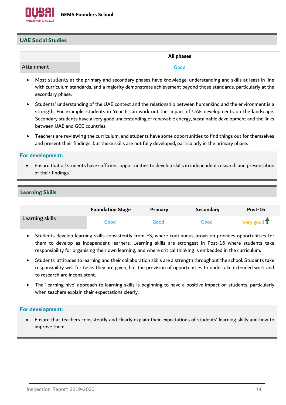

#### **UAE Social Studies**

|            | All phases |
|------------|------------|
| Attainment | Good       |

- Most students at the primary and secondary phases have knowledge, understanding and skills at least in line with curriculum standards, and a majority demonstrate achievement beyond those standards, particularly at the secondary phase.
- Students' understanding of the UAE context and the relationship between humankind and the environment is a strength. For example, students in Year 6 can work out the impact of UAE developments on the landscape. Secondary students have a very good understanding of renewable energy, sustainable development and the links between UAE and GCC countries.
- Teachers are reviewing the curriculum, and students have some opportunities to find things out for themselves and present their findings, but these skills are not fully developed, particularly in the primary phase.

#### **For development:**

• Ensure that all students have sufficient opportunities to develop skills in independent research and presentation of their findings.

#### **Learning Skills**

|                 | <b>Foundation Stage</b> | Primary | <b>Secondary</b> | Post-16               |
|-----------------|-------------------------|---------|------------------|-----------------------|
| Learning skills | Good                    | Good    | Good             | Very good $\mathbf T$ |

- Students develop learning skills consistently from FS, where continuous provision provides opportunities for them to develop as independent learners. Learning skills are strongest in Post-16 where students take responsibility for organising their own learning, and where critical thinking is embedded in the curriculum.
- Students' attitudes to learning and their collaboration skills are a strength throughout the school. Students take responsibility well for tasks they are given, but the provision of opportunities to undertake extended work and to research are inconsistent.
- The 'learning hive' approach to learning skills is beginning to have a positive impact on students, particularly when teachers explain their expectations clearly.

#### **For development:**

• Ensure that teachers consistently and clearly explain their expectations of students' learning skills and how to improve them.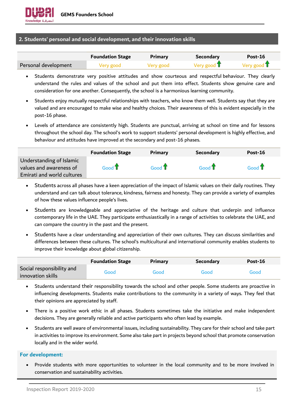#### **2. Students' personal and social development, and their innovation skills**

|                      | <b>Foundation Stage</b> | Primary   | <b>Secondary</b> | $Post-16$             |
|----------------------|-------------------------|-----------|------------------|-----------------------|
| Personal development | Very good               | Very good | Very good T      | Very good $\mathbf T$ |

- Students demonstrate very positive attitudes and show courteous and respectful behaviour. They clearly understand the rules and values of the school and put them into effect. Students show genuine care and consideration for one another. Consequently, the school is a harmonious learning community.
- Students enjoy mutually respectful relationships with teachers, who know them well. Students say that they are valued and are encouraged to make wise and healthy choices. Their awareness of this is evident especially in the post-16 phase.
- Levels of attendance are consistently high. Students are punctual, arriving at school on time and for lessons throughout the school day. The school's work to support students' personal development is highly effective, and behaviour and attitudes have improved at the secondary and post-16 phases.

|                                                     | <b>Foundation Stage</b> | Primary          | <b>Secondary</b> | Post-16                 |
|-----------------------------------------------------|-------------------------|------------------|------------------|-------------------------|
| Understanding of Islamic<br>values and awareness of | Good $\mathbf T$        | Good $\mathbf T$ | Good $\mathbf T$ | Good $\mathbf{\hat{T}}$ |
| Emirati and world cultures                          |                         |                  |                  |                         |

- Students across all phases have a keen appreciation of the impact of Islamic values on their daily routines. They understand and can talk about tolerance, kindness, fairness and honesty. They can provide a variety of examples of how these values influence people's lives.
- Students are knowledgeable and appreciative of the heritage and culture that underpin and influence contemporary life in the UAE. They participate enthusiastically in a range of activities to celebrate the UAE, and can compare the country in the past and the present.
- Students have a clear understanding and appreciation of their own cultures. They can discuss similarities and differences between these cultures. The school's multicultural and international community enables students to improve their knowledge about global citizenship.

|                                                | <b>Foundation Stage</b> | <b>Primary</b> | <b>Secondary</b> | Post-16 |
|------------------------------------------------|-------------------------|----------------|------------------|---------|
| Social responsibility and<br>innovation skills | Good                    | Good           | Good             | Good    |

- Students understand their responsibility towards the school and other people. Some students are proactive in influencing developments. Students make contributions to the community in a variety of ways. They feel that their opinions are appreciated by staff.
- There is a positive work ethic in all phases. Students sometimes take the initiative and make independent decisions. They are generally reliable and active participants who often lead by example.
- Students are well aware of environmental issues, including sustainability. They care for their school and take part in activities to improve its environment. Some also take part in projects beyond school that promote conservation locally and in the wider world.

#### **For development:**

• Provide students with more opportunities to volunteer in the local community and to be more involved in conservation and sustainability activities.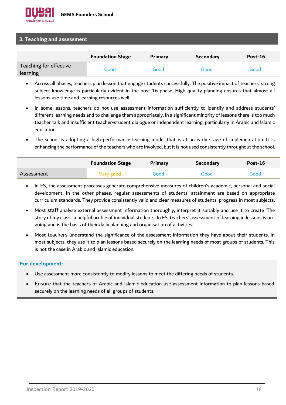#### **3. Teaching and assessment**

|                                    | <b>Foundation Stage</b> | Primary | <b>Secondary</b> | Post-16 |
|------------------------------------|-------------------------|---------|------------------|---------|
| Teaching for effective<br>learning | Good                    | Good .  | Good             | Good    |

- Across all phases, teachers plan lesson that engage students successfully. The positive impact of teachers' strong subject knowledge is particularly evident in the post-16 phase. High-quality planning ensures that almost all lessons use time and learning resources well.
- In some lessons, teachers do not use assessment information sufficiently to identify and address students' different learning needs and to challenge them appropriately. In a significant minority of lessons there is too much teacher talk and insufficient teacher-student dialogue or independent learning, particularly in Arabic and Islamic education.
- The school is adopting a high-performance learning model that is at an early stage of implementation. It is enhancing the performance of the teachers who are involved, but it is not used consistently throughout the school.

|            | <b>Foundation Stage</b> | Primary | Secondary | Post-16 |
|------------|-------------------------|---------|-----------|---------|
| Assessment | Very good               | Good.   | Good      | Good    |

- In FS, the assessment processes generate comprehensive measures of children's academic, personal and social development. In the other phases, regular assessments of students' attainment are based on appropriate curriculum standards. They provide consistently valid and clear measures of students' progress in most subjects.
- Most staff analyse external assessment information thoroughly, interpret it suitably and use it to create 'The story of my class', a helpful profile of individual students. In FS, teachers' assessment of learning in lessons is ongoing and is the basis of their daily planning and organisation of activities.
- Most teachers understand the significance of the assessment information they have about their students. In most subjects, they use it to plan lessons based securely on the learning needs of most groups of students. This is not the case in Arabic and Islamic education.

- Use assessment more consistently to modify lessons to meet the differing needs of students.
- Ensure that the teachers of Arabic and Islamic education use assessment information to plan lessons based securely on the learning needs of all groups of students.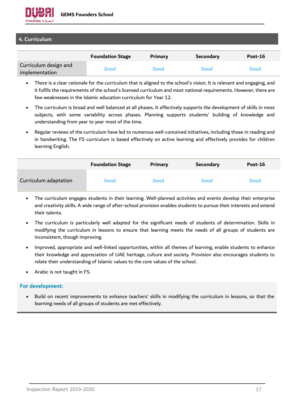

### **4. Curriculum**

|                                         | <b>Foundation Stage</b> | <b>Primary</b> | <b>Secondary</b> | Post-16 |
|-----------------------------------------|-------------------------|----------------|------------------|---------|
| Curriculum design and<br>implementation | Good                    | Good           | Good             | Good    |

- There is a clear rationale for the curriculum that is aligned to the school's vision. It is relevant and engaging, and it fulfils the requirements of the school's licensed curriculum and most national requirements. However, there are few weaknesses in the Islamic education curriculum for Year 12.
- The curriculum is broad and well balanced at all phases. It effectively supports the development of skills in most subjects, with some variability across phases. Planning supports students' building of knowledge and understanding from year to year most of the time.
- Regular reviews of the curriculum have led to numerous well-conceived initiatives, including those in reading and in handwriting. The FS curriculum is based effectively on active learning and effectively provides for children learning English.

|                       | <b>Foundation Stage</b> | Primary | <b>Secondary</b> | Post-16 |
|-----------------------|-------------------------|---------|------------------|---------|
| Curriculum adaptation | Good                    | Good    | Good             | Good    |

- The curriculum engages students in their learning. Well-planned activities and events develop their enterprise and creativity skills. A wide range of after-school provision enables students to pursue their interests and extend their talents.
- The curriculum is particularly well adapted for the significant needs of students of determination. Skills in modifying the curriculum in lessons to ensure that learning meets the needs of all groups of students are inconsistent, though improving.
- Improved, appropriate and well-linked opportunities, within all themes of learning, enable students to enhance their knowledge and appreciation of UAE heritage, culture and society. Provision also encourages students to relate their understanding of Islamic values to the core values of the school.
- Arabic is not taught in FS.

#### **For development:**

• Build on recent improvements to enhance teachers' skills in modifying the curriculum in lessons, so that the learning needs of all groups of students are met effectively.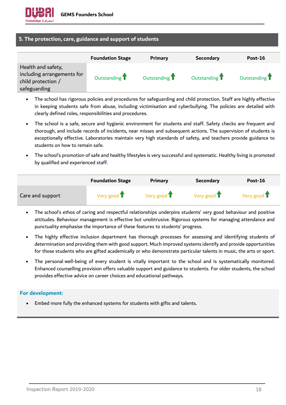

#### **5. The protection, care, guidance and support of students**

|                                                                                        | <b>Foundation Stage</b> | <b>Primary</b>           | <b>Secondary</b> | Post-16                  |
|----------------------------------------------------------------------------------------|-------------------------|--------------------------|------------------|--------------------------|
| Health and safety,<br>including arrangements for<br>child protection /<br>safeguarding | Outstanding 1           | Outstanding <sup>1</sup> | Outstanding 1    | Outstanding <sup>1</sup> |

- The school has rigorous policies and procedures for safeguarding and child protection. Staff are highly effective in keeping students safe from abuse, including victimisation and cyberbullying. The policies are detailed with clearly defined roles, responsibilities and procedures.
- The school is a safe, secure and hygienic environment for students and staff. Safety checks are frequent and thorough, and include records of incidents, near misses and subsequent actions. The supervision of students is exceptionally effective. Laboratories maintain very high standards of safety, and teachers provide guidance to students on how to remain safe.
- The school's promotion of safe and healthy lifestyles is very successful and systematic. Healthy living is promoted by qualified and experienced staff.

|                  | <b>Foundation Stage</b> | Primary               | <b>Secondary</b>      | Post-16               |
|------------------|-------------------------|-----------------------|-----------------------|-----------------------|
| Care and support | Very good $\mathbf T$   | Very good $\mathbf T$ | Very good $\mathbf T$ | Very good $\mathbf T$ |

- The school's ethos of caring and respectful relationships underpins students' very good behaviour and positive attitudes. Behaviour management is effective but unobtrusive. Rigorous systems for managing attendance and punctuality emphasise the importance of these features to students' progress.
- The highly effective inclusion department has thorough processes for assessing and identifying students of determination and providing them with good support. Much improved systems identify and provide opportunities for those students who are gifted academically or who demonstrate particular talents in music, the arts or sport.
- The personal well-being of every student is vitally important to the school and is systematically monitored. Enhanced counselling provision offers valuable support and guidance to students. For older students, the school provides effective advice on career choices and educational pathways.

#### **For development:**

• Embed more fully the enhanced systems for students with gifts and talents.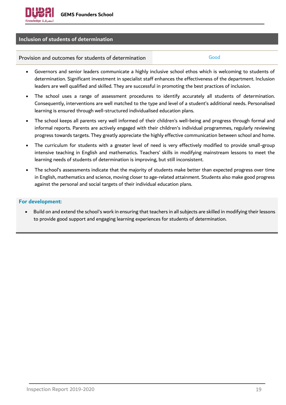

#### **Inclusion of students of determination**

Provision and outcomes for students of determination Theorem Cood

- Governors and senior leaders communicate a highly inclusive school ethos which is welcoming to students of determination. Significant investment in specialist staff enhances the effectiveness of the department. Inclusion leaders are well qualified and skilled. They are successful in promoting the best practices of inclusion.
- The school uses a range of assessment procedures to identify accurately all students of determination. Consequently, interventions are well matched to the type and level of a student's additional needs. Personalised learning is ensured through well-structured individualised education plans.
- The school keeps all parents very well informed of their children's well-being and progress through formal and informal reports. Parents are actively engaged with their children's individual programmes, regularly reviewing progress towards targets. They greatly appreciate the highly effective communication between school and home.
- The curriculum for students with a greater level of need is very effectively modified to provide small-group intensive teaching in English and mathematics. Teachers' skills in modifying mainstream lessons to meet the learning needs of students of determination is improving, but still inconsistent.
- The school's assessments indicate that the majority of students make better than expected progress over time in English, mathematics and science, moving closer to age-related attainment. Students also make good progress against the personal and social targets of their individual education plans.

#### **For development:**

• Build on and extend the school's work in ensuring that teachers in all subjects are skilled in modifying their lessons to provide good support and engaging learning experiences for students of determination.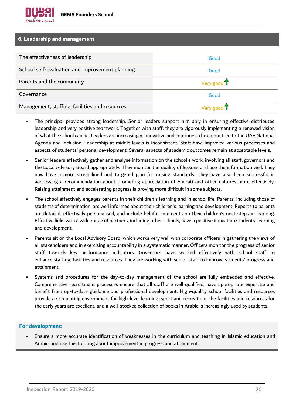#### **6. Leadership and management**

| The effectiveness of leadership                 | Good                         |
|-------------------------------------------------|------------------------------|
| School self-evaluation and improvement planning | Good                         |
| Parents and the community                       | Very good $\mathbf{\hat{T}}$ |
| Governance                                      | Good                         |
| Management, staffing, facilities and resources  | Very good T                  |

- The principal provides strong leadership. Senior leaders support him ably in ensuring effective distributed leadership and very positive teamwork. Together with staff, they are vigorously implementing a renewed vision of what the school can be. Leaders are increasingly innovative and continue to be committed to the UAE National Agenda and inclusion. Leadership at middle levels is inconsistent. Staff have improved various processes and aspects of students' personal development. Several aspects of academic outcomes remain at acceptable levels.
- Senior leaders effectively gather and analyse information on the school's work, involving all staff, governors and the Local Advisory Board appropriately. They monitor the quality of lessons and use the information well. They now have a more streamlined and targeted plan for raising standards. They have also been successful in addressing a recommendation about promoting appreciation of Emirati and other cultures more effectively. Raising attainment and accelerating progress is proving more difficult in some subjects.
- The school effectively engages parents in their children's learning and in school life. Parents, including those of students of determination, are well informed about their children's learning and development. Reports to parents are detailed, effectively personalised, and include helpful comments on their children's next steps in learning. Effective links with a wide range of partners, including other schools, have a positive impact on students' learning and development.
- Parents sit on the Local Advisory Board, which works very well with corporate officers in gathering the views of all stakeholders and in exercising accountability in a systematic manner. Officers monitor the progress of senior staff towards key performance indicators. Governors have worked effectively with school staff to enhance staffing, facilities and resources. They are working with senior staff to improve students' progress and attainment.
- Systems and procedures for the day-to-day management of the school are fully embedded and effective. Comprehensive recruitment processes ensure that all staff are well qualified, have appropriate expertise and benefit from up-to-date guidance and professional development. High-quality school facilities and resources provide a stimulating environment for high-level learning, sport and recreation. The facilities and resources for the early years are excellent, and a well-stocked collection of books in Arabic is increasingly used by students.

### **For development:**

• Ensure a more accurate identification of weaknesses in the curriculum and teaching in Islamic education and Arabic, and use this to bring about improvement in progress and attainment.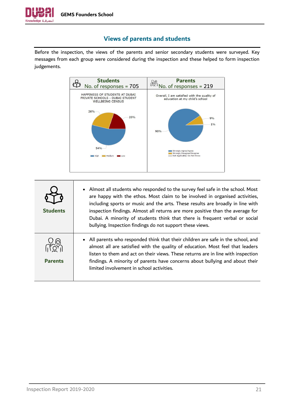

## **Views of parents and students**

<span id="page-20-0"></span>Before the inspection, the views of the parents and senior secondary students were surveyed. Key messages from each group were considered during the inspection and these helped to form inspection judgements.



| <b>Students</b> | • Almost all students who responded to the survey feel safe in the school. Most<br>are happy with the ethos. Most claim to be involved in organised activities,<br>including sports or music and the arts. These results are broadly in line with<br>inspection findings. Almost all returns are more positive than the average for<br>Dubai. A minority of students think that there is frequent verbal or social<br>bullying. Inspection findings do not support these views. |
|-----------------|---------------------------------------------------------------------------------------------------------------------------------------------------------------------------------------------------------------------------------------------------------------------------------------------------------------------------------------------------------------------------------------------------------------------------------------------------------------------------------|
| <b>Parents</b>  | • All parents who responded think that their children are safe in the school, and<br>almost all are satisfied with the quality of education. Most feel that leaders<br>listen to them and act on their views. These returns are in line with inspection<br>findings. A minority of parents have concerns about bullying and about their<br>limited involvement in school activities.                                                                                            |